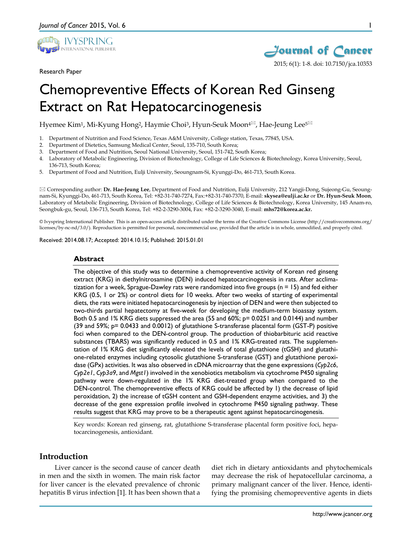

Research Paper



1

# Chemopreventive Effects of Korean Red Ginseng Extract on Rat Hepatocarcinogenesis

Hyemee Kim<sup>1</sup>, Mi-Kyung Hong<sup>2</sup>, Haymie Choi<sup>3</sup>, Hyun-Seuk Moon<sup>4⊠</sup>, Hae-Jeung Lee<sup>5⊠</sup>

- 1. Department of Nutrition and Food Science, Texas A&M University, College station, Texas, 77845, USA.
- 2. Department of Dietetics, Samsung Medical Center, Seoul, 135-710, South Korea;
- 3. Department of Food and Nutrition, Seoul National University, Seoul, 151-742, South Korea;
- 4. Laboratory of Metabolic Engineering, Division of Biotechnology, College of Life Sciences & Biotechnology, Korea University, Seoul, 136-713, South Korea;
- 5. Department of Food and Nutrition, Eulji University, Seoungnam-Si, Kyunggi-Do, 461-713, South Korea.

 Corresponding author: **Dr. Hae-Jeung Lee**, Department of Food and Nutrition, Eulji University, 212 Yangji-Dong, Sujeong-Gu, Seoungnam-Si, Kyunggi-Do, 461-713, South Korea, Tel: +82-31-740-7274, Fax:+82-31-740-7370, E-mail: **skysea@eulji.ac.kr** or **Dr. Hyun-Seuk Moon**, Laboratory of Metabolic Engineering, Division of Biotechnology, College of Life Sciences & Biotechnology, Korea University, 145 Anam-ro, Seongbuk-gu, Seoul, 136-713, South Korea, Tel: +82-2-3290-3004, Fax: +82-2-3290-3040, E-mail: **mhs72@korea.ac.kr.**

© Ivyspring International Publisher. This is an open-access article distributed under the terms of the Creative Commons License (http://creativecommons.org/ licenses/by-nc-nd/3.0/). Reproduction is permitted for personal, noncommercial use, provided that the article is in whole, unmodified, and properly cited.

Received: 2014.08.17; Accepted: 2014.10.15; Published: 2015.01.01

#### **Abstract**

The objective of this study was to determine a chemopreventive activity of Korean red ginseng extract (KRG) in diethylnitrosamine (DEN) induced hepatocarcinogenesis in rats. After acclimatization for a week, Sprague-Dawley rats were randomized into five groups (n = 15) and fed either KRG (0.5, 1 or 2%) or control diets for 10 weeks. After two weeks of starting of experimental diets, the rats were initiated hepatocarcinogenesis by injection of DEN and were then subjected to two-thirds partial hepatectomy at five-week for developing the medium-term bioassay system. Both 0.5 and 1% KRG diets suppressed the area (55 and 60%; p= 0.0251 and 0.0144) and number (39 and 59%; p= 0.0433 and 0.0012) of glutathione S-transferase placental form (GST-P) positive foci when compared to the DEN-control group. The production of thiobarbituric acid reactive substances (TBARS) was significantly reduced in 0.5 and 1% KRG-treated rats. The supplementation of 1% KRG diet significantly elevated the levels of total glutathione (tGSH) and glutathione-related enzymes including cytosolic glutathione S-transferase (GST) and glutathione peroxidase (GPx) activities. It was also observed in cDNA microarray that the gene expressions (*Cyp2c6*, *Cyp2e1*, *Cyp3a9*, and *Mgst1*) involved in the xenobiotics metabolism via cytochrome P450 signaling pathway were down-regulated in the 1% KRG diet-treated group when compared to the DEN-control. The chemopreventive effects of KRG could be affected by 1) the decrease of lipid peroxidation, 2) the increase of tGSH content and GSH-dependent enzyme activities, and 3) the decrease of the gene expression profile involved in cytochrome P450 signaling pathway. These results suggest that KRG may prove to be a therapeutic agent against hepatocarcinogenesis.

Key words: Korean red ginseng, rat, glutathione S-transferase placental form positive foci, hepatocarcinogenesis, antioxidant.

# **Introduction**

Liver cancer is the second cause of cancer death in men and the sixth in women. The main risk factor for liver cancer is the elevated prevalence of chronic hepatitis B virus infection [1]. It has been shown that a

diet rich in dietary antioxidants and phytochemicals may decrease the risk of hepatocellular carcinoma, a primary malignant cancer of the liver. Hence, identifying the promising chemopreventive agents in diets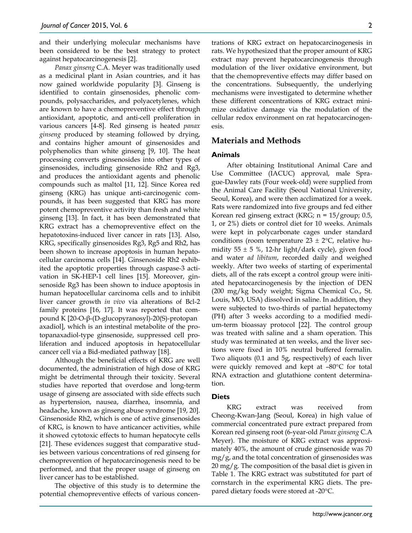and their underlying molecular mechanisms have been considered to be the best strategy to protect against hepatocarcinogenesis [2].

*Panax ginseng* C.A. Meyer was traditionally used as a medicinal plant in Asian countries, and it has now gained worldwide popularity [3]. Ginseng is identified to contain ginsenosides, phenolic compounds, polysaccharides, and polyacetylenes, which are known to have a chemopreventive effect through antioxidant, apoptotic, and anti-cell proliferation in various cancers [4-8]. Red ginseng is heated *panax ginseng* produced by steaming followed by drying, and contains higher amount of ginsenosides and polyphenolics than white ginseng [9, 10]. The heat processing converts ginsenosides into other types of ginsenosides, including ginsenoside Rh2 and Rg3, and produces the antioxidant agents and phenolic compounds such as maltol [11, 12]. Since Korea red ginseng (KRG) has unique anti-carcinogenic compounds, it has been suggested that KRG has more potent chemopreventive activity than fresh and white ginseng [13]. In fact, it has been demonstrated that KRG extract has a chemopreventive effect on the hepatotoxins-induced liver cancer in rats [13]. Also, KRG, specifically ginsenosides Rg3, Rg5 and Rh2, has been shown to increase apoptosis in human hepatocellular carcinoma cells [14]. Ginsenoside Rh2 exhibited the apoptotic properties through caspase-3 activation in SK-HEP-1 cell lines [15]. Moreover, ginsenoside Rg3 has been shown to induce apoptosis in human hepatocellular carcinoma cells and to inhibit liver cancer growth *in vivo* via alterations of Bcl-2 family proteins [16, 17]. It was reported that compound K [20-O-β-(D-glucopyranosyl)-20(S)-protopan axadiol], which is an intestinal metabolite of the protopanaxadiol-type ginsenoside, suppressed cell proliferation and induced apoptosis in hepatocellular cancer cell via a Bid-mediated pathway [18].

Although the beneficial effects of KRG are well documented, the administration of high dose of KRG might be detrimental through their toxicity. Several studies have reported that overdose and long-term usage of ginseng are associated with side effects such as hypertension, nausea, diarrhea, insomnia, and headache, known as ginseng abuse syndrome [19, 20]. Ginsenoside Rh2, which is one of active ginsenosides of KRG, is known to have anticancer activities, while it showed cytotoxic effects to human hepatocyte cells [21]. These evidences suggest that comparative studies between various concentrations of red ginseng for chemoprevention of hepatocarcinogenesis need to be performed, and that the proper usage of ginseng on liver cancer has to be established.

The objective of this study is to determine the potential chemopreventive effects of various concentrations of KRG extract on hepatocarcinogenesis in rats. We hypothesized that the proper amount of KRG extract may prevent hepatocarcinogenesis through modulation of the liver oxidative environment, but that the chemopreventive effects may differ based on the concentrations. Subsequently, the underlying mechanisms were investigated to determine whether these different concentrations of KRG extract minimize oxidative damage via the modulation of the cellular redox environment on rat hepatocarcinogenesis.

## **Materials and Methods**

#### **Animals**

After obtaining Institutional Animal Care and Use Committee (IACUC) approval, male Sprague-Dawley rats (Four week-old) were supplied from the Animal Care Facility (Seoul National University, Seoul, Korea), and were then acclimatized for a week. Rats were randomized into five groups and fed either Korean red ginseng extract (KRG; n = 15/group; 0.5, 1, or 2%) diets or control diet for 10 weeks. Animals were kept in polycarbonate cages under standard conditions (room temperature  $23 \pm 2$ °C, relative humidity 55  $\pm$  5 %, 12-hr light/dark cycle), given food and water *ad libitum*, recorded daily and weighed weekly. After two weeks of starting of experimental diets, all of the rats except a control group were initiated hepatocarcinogenesis by the injection of DEN (200 mg/kg body weight; Sigma Chemical Co., St. Louis, MO, USA) dissolved in saline. In addition, they were subjected to two-thirds of partial hepatectomy (PH) after 3 weeks according to a modified medium-term bioassay protocol [22]. The control group was treated with saline and a sham operation. This study was terminated at ten weeks, and the liver sections were fixed in 10% neutral buffered formalin. Two aliquots (0.1 and 5g, respectively) of each liver were quickly removed and kept at –80°C for total RNA extraction and glutathione content determination.

#### **Diets**

KRG extract was received from Cheong-Kwan-Jang (Seoul, Korea) in high value of commercial concentrated pure extract prepared from Korean red ginseng root (6-year-old *Panax ginseng* C.A Meyer). The moisture of KRG extract was approximately 40%, the amount of crude ginsenoside was 70  $mg/g$ , and the total concentration of ginsenosides was  $20 \text{ mg/g}$ . The composition of the basal diet is given in Table 1. The KRG extract was substituted for part of cornstarch in the experimental KRG diets. The prepared dietary foods were stored at -20°C.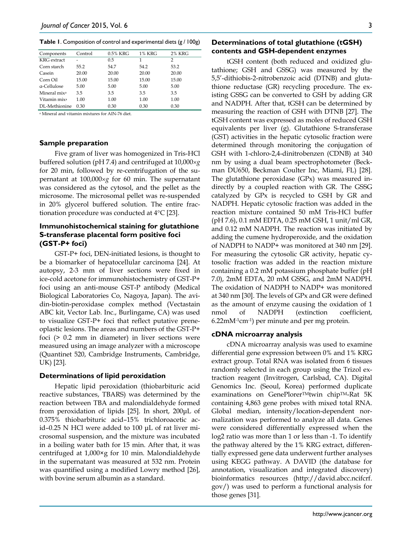**Table 1**. Composition of control and experimental diets (g / 100g)

| Components               | Control | 0.5% KRG | <b>1% KRG</b> | <b>2% KRG</b> |
|--------------------------|---------|----------|---------------|---------------|
| <b>KRG</b> extract       |         | 0.5      | 1             | 2             |
| Corn starch              | 55.2    | 54.7     | 54.2          | 53.2          |
| Casein                   | 20.00   | 20.00    | 20.00         | 20.00         |
| Corn Oil                 | 15.00   | 15.00    | 15.00         | 15.00         |
| a-Cellulose              | 5.00    | 5.00     | 5.00          | 5.00          |
| Mineral mix <sup>a</sup> | 3.5     | 3.5      | 3.5           | 3.5           |
| Vitamin mix <sup>a</sup> | 1.00    | 1.00     | 1.00          | 1.00          |
| DL-Methionine            | 0.30    | 0.30     | 0.30          | 0.30          |

<sup>a</sup> Mineral and vitamin mixtures for AIN-76 diet.

#### **Sample preparation**

Five gram of liver was homogenized in Tris-HCl buffered solution (pH 7.4) and centrifuged at 10,000×*g* for 20 min, followed by re-centrifugation of the supernatant at 100,000×*g* for 60 min. The supernatant was considered as the cytosol, and the pellet as the microsome. The microsomal pellet was re-suspended in 20% glycerol buffered solution. The entire fractionation procedure was conducted at 4°C [23].

## **Immunohistochemical staining for glutathione S-transferase placental form positive foci (GST-P+ foci)**

GST-P+ foci, DEN-initiated lesions, is thought to be a biomarker of hepatocellular carcinoma [24]. At autopsy, 2-3 mm of liver sections were fixed in ice-cold acetone for immunohistochemistry of GST-P+ foci using an anti-mouse GST-P antibody (Medical Biological Laboratories Co, Nagoya, Japan). The avidin-biotin-peroxidase complex method (Vectastain ABC kit, Vector Lab. Inc., Burlingame, CA) was used to visualize GST-P+ foci that reflect putative preneoplastic lesions. The areas and numbers of the GST-P+ foci (> 0.2 mm in diameter) in liver sections were measured using an image analyzer with a microscope (Quantinet 520, Cambridge Instruments, Cambridge, UK) [23].

#### **Determinations of lipid peroxidation**

Hepatic lipid peroxidation (thiobarbituric acid reactive substances, TBARS) was determined by the reaction between TBA and malondialdehyde formed from peroxidation of lipids [25]. In short, 200μL of 0.375% thiobarbituric acid–15% trichloroacetic acid–0.25 N HCl were added to 100 μL of rat liver microsomal suspension, and the mixture was incubated in a boiling water bath for 15 min. After that, it was centrifuged at 1,000×g for 10 min. Malondialdehyde in the supernatant was measured at 532 nm. Protein was quantified using a modified Lowry method [26], with bovine serum albumin as a standard.

#### **Determinations of total glutathione (tGSH) contents and GSH-dependent enzymes**

tGSH content (both reduced and oxidized glutathione; GSH and GSSG) was measured by the 5,5'-dithiobis-2-nitrobenzoic acid (DTNB) and glutathione reductase (GR) recycling procedure. The existing GSSG can be converted to GSH by adding GR and NADPH. After that, tGSH can be determined by measuring the reaction of GSH with DTNB [27]. The tGSH content was expressed as moles of reduced GSH equivalents per liver (g). Glutathione S-transferase (GST) activities in the hepatic cytosolic fraction were determined through monitoring the conjugation of GSH with 1-chloro-2,4-dinitrobenzen (CDNB) at 340 nm by using a dual beam spectrophotometer (Beckman DU650, Beckman Coulter Inc, Miami, FL) [28]. The glutathione peroxidase (GPx) was measured indirectly by a coupled reaction with GR. The GSSG catalyzed by GPx is recycled to GSH by GR and NADPH. Hepatic cytosolic fraction was added in the reaction mixture contained 50 mM Tris-HCl buffer (pH 7.6), 0.1 mM EDTA, 0.25 mM GSH, 1 unit/ml GR, and 0.12 mM NADPH. The reaction was initiated by adding the cumene hydroperoxide, and the oxidation of NADPH to NADP+ was monitored at 340 nm [29]. For measuring the cytosolic GR activity, hepatic cytosolic fraction was added in the reaction mixture containing a 0.2 mM potassium phosphate buffer (pH 7.0), 2mM EDTA, 20 mM GSSG, and 2mM NADPH. The oxidation of NADPH to NADP+ was monitored at 340 nm [30]. The levels of GPx and GR were defined as the amount of enzyme causing the oxidation of 1 nmol of NADPH (extinction coefficient, 6.22mM-1cm-1) per minute and per mg protein.

#### **cDNA microarray analysis**

cDNA microarray analysis was used to examine differential gene expression between 0% and 1% KRG extract group. Total RNA was isolated from 6 tissues randomly selected in each group using the Trizol extraction reagent (Invitrogen, Carlsbad, CA). Digital Genomics Inc. (Seoul, Korea) performed duplicate examinations on GenePlorer™twin chip™-Rat 5K containing 4,863 gene probes with mixed total RNA. Global median, intensity/location-dependent normalization was performed to analyze all data. Genes were considered differentially expressed when the log2 ratio was more than 1 or less than -1. To identify the pathway altered by the 1% KRG extract, differentially expressed gene data underwent further analyses using KEGG pathway. A DAVID (the database for annotation, visualization and integrated discovery) bioinformatics resources (http://david.abcc.ncifcrf. gov/) was used to perform a functional analysis for those genes [31].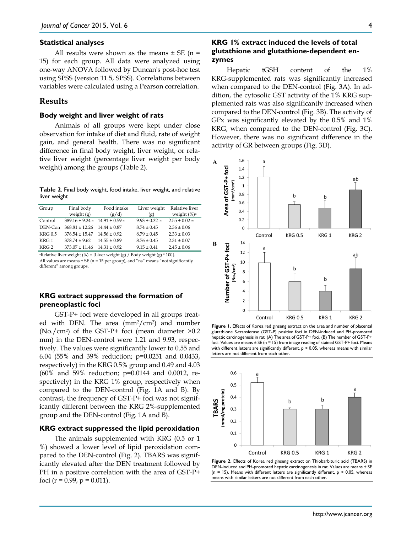#### **Statistical analyses**

All results were shown as the means  $\pm$  SE (n = 15) for each group. All data were analyzed using one-way ANOVA followed by Duncan's post-hoc test using SPSS (version 11.5, SPSS). Correlations between variables were calculated using a Pearson correlation.

## **Results**

#### **Body weight and liver weight of rats**

Animals of all groups were kept under close observation for intake of diet and fluid, rate of weight gain, and general health. There was no significant difference in final body weight, liver weight, or relative liver weight (percentage liver weight per body weight) among the groups (Table 2).

**Table 2**. Final body weight, food intake, liver weight, and relative liver weight

| Group            | Final body           | Food intake         | Liver weight                  | Relative liver     |
|------------------|----------------------|---------------------|-------------------------------|--------------------|
|                  | weight $(g)$         | (g/d)               | (g)                           | weight $(\%)^a$    |
| Control          | $389.16 \pm 9.24$ ns | $14.91 \pm 0.59$ ns | $9.93 \pm 0.32$ <sup>ns</sup> | $2.55 \pm 0.02$ ns |
| DEN-Con          | $368.81 \pm 12.26$   | $14.44 \pm 0.87$    | $8.74 \pm 0.45$               | $2.36 \pm 0.06$    |
| <b>KRG0.5</b>    | $376.54 \pm 15.47$   | $14.56 \pm 0.92$    | $8.79 \pm 0.45$               | $2.33 \pm 0.03$    |
| KRG 1            | $378.74 \pm 9.62$    | $14.55 \pm 0.89$    | $8.76 \pm 0.45$               | $2.31 \pm 0.07$    |
| KRG <sub>2</sub> | $373.07 \pm 11.46$   | $14.31 \pm 0.92$    | $9.15 \pm 0.41$               | $2.45 \pm 0.06$    |

<sup>a</sup>Relative liver weight (%) = [Liver weight (g) / Body weight (g) \* 100]. All values are means  $\pm$  SE (n = 15 per group), and "ns" means "not significantly different" among groups.

# **KRG extract suppressed the formation of preneoplastic foci**

GST-P+ foci were developed in all groups treated with DEN. The area (mm2/cm2) and number (No./cm<sup>2</sup>) of the GST-P+ foci (mean diameter  $>0.2$ mm) in the DEN-control were 1.21 and 9.93, respectively. The values were significantly lower to 0.55 and 6.04 (55% and 39% reduction; p=0.0251 and 0.0433, respectively) in the KRG 0.5% group and 0.49 and 4.03 (60% and 59% reduction; p=0.0144 and 0.0012, respectively) in the KRG 1% group, respectively when compared to the DEN-control (Fig. 1A and B). By contrast, the frequency of GST-P+ foci was not significantly different between the KRG 2%-supplemented group and the DEN-control (Fig. 1A and B).

# **KRG extract suppressed the lipid peroxidation**

The animals supplemented with KRG (0.5 or 1 %) showed a lower level of lipid peroxidation compared to the DEN-control (Fig. 2). TBARS was significantly elevated after the DEN treatment followed by PH in a positive correlation with the area of GST-P+ foci ( $r = 0.99$ ,  $p = 0.011$ ).

# **KRG 1% extract induced the levels of total glutathione and glutathione-dependent enzymes**

Hepatic tGSH content of the 1% KRG-supplemented rats was significantly increased when compared to the DEN-control (Fig. 3A). In addition, the cytosolic GST activity of the 1% KRG supplemented rats was also significantly increased when compared to the DEN-control (Fig. 3B). The activity of GPx was significantly elevated by the 0.5% and 1% KRG, when compared to the DEN-control (Fig. 3C). However, there was no significant difference in the activity of GR between groups (Fig. 3D).



**Figure 1.** Effects of Korea red ginseng extract on the area and number of placental glutathione S-transferase (GST-P) positive foci in DEN-induced and PH-promoted hepatic carcinogenesis in rat. (A) The area of GST-P+ foci. (B) The number of GST-P+ foci. Values are means  $\pm$  SE (n = 15) from image reading of stained GST-P+ foci. Means with different letters are significantly different,  $p < 0.05$ , whereas means with similar letters are not different from each other.



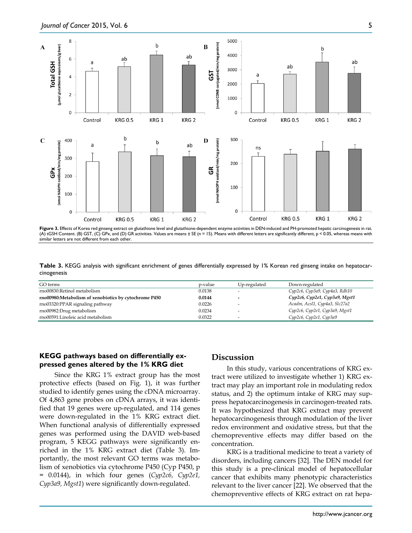

**Figure 3.** Effects of Korea red ginseng extract on glutathione level and glutathione-dependent enzyme activities in DEN-induced and PH-promoted hepatic carcinogenesis in rat. (A) tGSH Content. (B) GST, (C) GPx, and (D) GR activities. Values are means ± SE (n = 15). Means with different letters are significantly different, p < 0.05, whereas means with similar letters are not different from each other.

**Table 3.** KEGG analysis with significant enrichment of genes differentially expressed by 1% Korean red ginseng intake on hepatocarcinogenesis

| GO terms                                              | p-value | Up-regulated | Down-regulated                |
|-------------------------------------------------------|---------|--------------|-------------------------------|
| rno00830:Retinol metabolism                           | 0.0138  |              | Cyp2c6, Cyp3a9, Cyp4a3, Rdh10 |
| rno00980:Metabolism of xenobiotics by cytochrome P450 | 0.0144  | -            | Cyp2c6, Cyp2e1, Cyp3a9, Mgst1 |
| rno03320:PPAR signaling pathway                       | 0.0226  |              | Acadm, Acsl1, Cyp4a3, Slc27a2 |
| rno00982:Drug metabolism                              | 0.0234  |              | Cyp2c6, Cyp2e1, Cyp3a9, Mgst1 |
| rno00591:Linoleic acid metabolism                     | 0.0322  | -            | Сур2с6, Сур2е1, Сур3а9        |

# **KEGG pathways based on differentially expressed genes altered by the 1% KRG diet**

Since the KRG 1% extract group has the most protective effects (based on Fig. 1), it was further studied to identify genes using the cDNA microarray. Of 4,863 gene probes on cDNA arrays, it was identified that 19 genes were up-regulated, and 114 genes were down-regulated in the 1% KRG extract diet. When functional analysis of differentially expressed genes was performed using the DAVID web-based program, 5 KEGG pathways were significantly enriched in the 1% KRG extract diet (Table 3). Importantly, the most relevant GO terms was metabolism of xenobiotics via cytochrome P450 (Cyp P450, p = 0.0144), in which four genes (*Cyp2c6, Cyp2e1, Cyp3a9, Mgst1*) were significantly down-regulated.

# **Discussion**

In this study, various concentrations of KRG extract were utilized to investigate whether 1) KRG extract may play an important role in modulating redox status, and 2) the optimum intake of KRG may suppress hepatocarcinogenesis in carcinogen-treated rats. It was hypothesized that KRG extract may prevent hepatocarcinogenesis through modulation of the liver redox environment and oxidative stress, but that the chemopreventive effects may differ based on the concentration.

KRG is a traditional medicine to treat a variety of disorders, including cancers [32]. The DEN model for this study is a pre-clinical model of hepatocellular cancer that exhibits many phenotypic characteristics relevant to the liver cancer [22]. We observed that the chemopreventive effects of KRG extract on rat hepa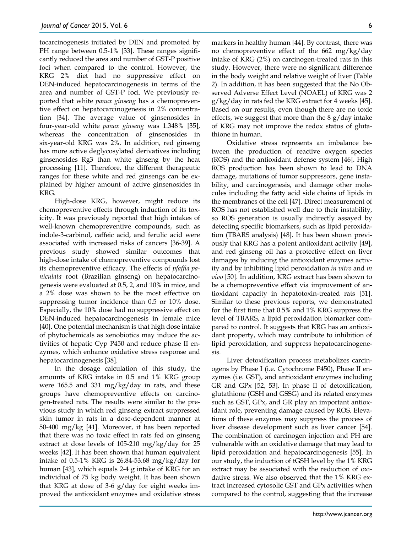tocarcinogenesis initiated by DEN and promoted by PH range between 0.5-1% [33]. These ranges significantly reduced the area and number of GST-P positive foci when compared to the control. However, the KRG 2% diet had no suppressive effect on DEN-induced hepatocarcinogenesis in terms of the area and number of GST-P foci. We previously reported that white *panax ginseng* has a chemopreventive effect on hepatocarcinogenesis in 2% concentration [34]. The average value of ginsenosides in four-year-old white *panax ginseng* was 1.348% [35], whereas the concentration of ginsenosides in six-year-old KRG was 2%. In addition, red ginseng has more active deglycosylated derivatives including ginsenosides Rg3 than white ginseng by the heat processing [11]. Therefore, the different therapeutic ranges for these white and red ginsengs can be explained by higher amount of active ginsenosides in KRG.

High-dose KRG, however, might reduce its chemopreventive effects through induction of its toxicity. It was previously reported that high intakes of well-known chemopreventive compounds, such as indole-3-carbinol, caffeic acid, and ferulic acid were associated with increased risks of cancers [36-39]. A previous study showed similar outcomes that high-dose intake of chemopreventive compounds lost its chemopreventive efficacy. The effects of *pfaffia paniculata* root (Brazilian ginseng) on hepatocarcinogenesis were evaluated at 0.5, 2, and 10% in mice, and a 2% dose was shown to be the most effective on suppressing tumor incidence than 0.5 or 10% dose. Especially, the 10% dose had no suppressive effect on DEN-induced hepatocarcinogenesis in female mice [40]. One potential mechanism is that high dose intake of phytochemicals as xenobiotics may induce the activities of hepatic Cyp P450 and reduce phase II enzymes, which enhance oxidative stress response and hepatocarcinogenesis [38].

In the dosage calculation of this study, the amounts of KRG intake in 0.5 and 1% KRG group were 165.5 and 331 mg/kg/day in rats, and these groups have chemopreventive effects on carcinogen-treated rats. The results were similar to the previous study in which red ginseng extract suppressed skin tumor in rats in a dose-dependent manner at 50-400 mg/kg [41]. Moreover, it has been reported that there was no toxic effect in rats fed on ginseng extract at dose levels of 105-210 mg/kg/day for 25 weeks [42]. It has been shown that human equivalent intake of 0.5-1% KRG is 26.84-53.68 mg/kg/day for human [43], which equals 2-4 g intake of KRG for an individual of 75 kg body weight. It has been shown that KRG at dose of 3-6 g/day for eight weeks improved the antioxidant enzymes and oxidative stress

markers in healthy human [44]. By contrast, there was no chemopreventive effect of the 662 mg/kg/day intake of KRG (2%) on carcinogen-treated rats in this study. However, there were no significant difference in the body weight and relative weight of liver (Table 2). In addition, it has been suggested that the No Observed Adverse Effect Level (NOAEL) of KRG was 2  $g/kg$  day in rats fed the KRG extract for 4 weeks [45]. Based on our results, even though there are no toxic effects, we suggest that more than the  $8 \text{ g}/\text{day}$  intake of KRG may not improve the redox status of glutathione in human.

Oxidative stress represents an imbalance between the production of reactive oxygen species (ROS) and the antioxidant defense system [46]. High ROS production has been shown to lead to DNA damage, mutations of tumor suppressors, gene instability, and carcinogenesis, and damage other molecules including the fatty acid side chains of lipids in the membranes of the cell [47]. Direct measurement of ROS has not established well due to their instability, so ROS generation is usually indirectly assayed by detecting specific biomarkers, such as lipid peroxidation (TBARS analysis) [48]. It has been shown previously that KRG has a potent antioxidant activity [49], and red ginseng oil has a protective effect on liver damages by inducing the antioxidant enzymes activity and by inhibiting lipid peroxidation *in vitro* and *in vivo* [50]. In addition, KRG extract has been shown to be a chemopreventive effect via improvement of antioxidant capacity in hepatotoxin-treated rats [51]. Similar to these previous reports, we demonstrated for the first time that 0.5% and 1% KRG suppress the level of TBARS, a lipid peroxidation biomarker compared to control. It suggests that KRG has an antioxidant property, which may contribute to inhibition of lipid peroxidation, and suppress hepatocarcinogenesis.

Liver detoxification process metabolizes carcinogens by Phase I (i.e. Cytochrome P450), Phase II enzymes (i.e. GST), and antioxidant enzymes including GR and GPx [52, 53]. In phase II of detoxification, glutathione (GSH and GSSG) and its related enzymes such as GST, GPx, and GR play an important antioxidant role, preventing damage caused by ROS. Elevations of these enzymes may suppress the process of liver disease development such as liver cancer [54]. The combination of carcinogen injection and PH are vulnerable with an oxidative damage that may lead to lipid peroxidation and hepatocarcinogenesis [55]. In our study, the induction of tGSH level by the 1% KRG extract may be associated with the reduction of oxidative stress. We also observed that the 1% KRG extract increased cytosolic GST and GPx activities when compared to the control, suggesting that the increase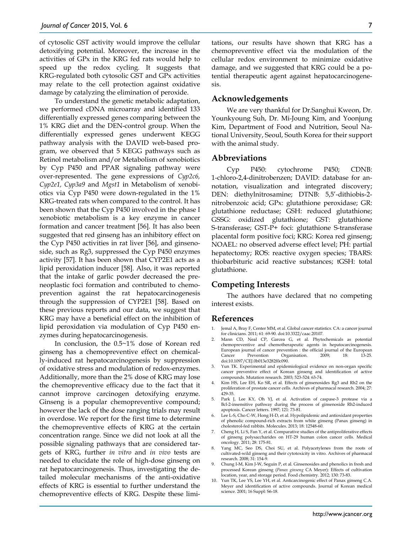of cytosolic GST activity would improve the cellular detoxifying potential. Moreover, the increase in the activities of GPx in the KRG fed rats would help to speed up the redox cycling. It suggests that KRG-regulated both cytosolic GST and GPx activities may relate to the cell protection against oxidative damage by catalyzing the elimination of peroxide.

To understand the genetic metabolic adaptation, we performed cDNA microarray and identified 133 differentially expressed genes comparing between the 1% KRG diet and the DEN-control group. When the differentially expressed genes underwent KEGG pathway analysis with the DAVID web-based program, we observed that 5 KEGG pathways such as Retinol metabolism and/or Metabolism of xenobiotics by Cyp P450 and PPAR signaling pathway were over-represented. The gene expressions of *Cyp2c6, Cyp2e1, Cyp3a9* and *Mgst1* in Metabolism of xenobiotics via Cyp P450 were down-regulated in the 1% KRG-treated rats when compared to the control. It has been shown that the Cyp P450 involved in the phase I xenobiotic metabolism is a key enzyme in cancer formation and cancer treatment [56]. It has also been suggested that red ginseng has an inhibitory effect on the Cyp P450 activities in rat liver [56], and ginsenoside, such as Rg3, suppressed the Cyp P450 enzymes activity [57]. It has been shown that CYP2E1 acts as a lipid peroxidation inducer [58]. Also, it was reported that the intake of garlic powder decreased the preneoplastic foci formation and contributed to chemoprevention against the rat hepatocarcinogenesis through the suppression of CYP2E1 [58]. Based on these previous reports and our data, we suggest that KRG may have a beneficial effect on the inhibition of lipid peroxidation via modulation of Cyp P450 enzymes during hepatocarcinogenesis.

In conclusion, the 0.5~1% dose of Korean red ginseng has a chemopreventive effect on chemically-induced rat hepatocarcinogenesis by suppression of oxidative stress and modulation of redox-enzymes. Additionally, more than the 2% dose of KRG may lose the chemopreventive efficacy due to the fact that it cannot improve carcinogen detoxifying enzyme. Ginseng is a popular chemopreventive compound; however the lack of the dose ranging trials may result in overdose. We report for the first time to determine the chemopreventive effects of KRG at the certain concentration range. Since we did not look at all the possible signaling pathways that are considered targets of KRG, further *in vitro* and *in vivo* tests are needed to elucidate the role of high-dose ginseng on rat hepatocarcinogenesis. Thus, investigating the detailed molecular mechanisms of the anti-oxidative effects of KRG is essential to further understand the chemopreventive effects of KRG. Despite these limitations, our results have shown that KRG has a chemopreventive effect via the modulation of the cellular redox environment to minimize oxidative damage, and we suggested that KRG could be a potential therapeutic agent against hepatocarcinogenesis.

## **Acknowledgements**

We are very thankful for Dr.Sanghui Kweon, Dr. Younkyoung Suh, Dr. Mi-Joung Kim, and Yoonjung Kim, Department of Food and Nutrition, Seoul National University, Seoul, South Korea for their support with the animal study.

#### **Abbreviations**

Cyp P450: cytochrome P450; CDNB: 1-chloro-2,4-dinitrobenzen; DAVID: database for annotation, visualization and integrated discovery; DEN: diethylnitrosamine; DTNB: 5,5'-dithiobis-2 nitrobenzoic acid; GPx: glutathione peroxidase; GR: glutathione reductase; GSH: reduced glutathione; GSSG: oxidized glutathione; GST: glutathione S-transferase; GST-P+ foci: glutathione S-transferase placental form positive foci; KRG: Korea red ginseng; NOAEL: no observed adverse effect level; PH: partial hepatectomy; ROS: reactive oxygen species; TBARS: thiobarbituric acid reactive substances; tGSH: total glutathione.

## **Competing Interests**

The authors have declared that no competing interest exists.

## **References**

- 1. Jemal A, Bray F, Center MM, et al. Global cancer statistics. CA: a cancer journal for clinicians. 2011; 61: 69-90. doi:10.3322/caac.20107.
- 2. Mann CD, Neal CP, Garcea G, et al. Phytochemicals as potential chemopreventive and chemotherapeutic agents in hepatocarcinogenesis. European journal of cancer prevention : the official journal of the European<br>Cancer Prevention Organisation. 2009: 18: 13-25. Cancer Prevention Organisation. 2009; 18: 13-25. doi:10.1097/CEJ.0b013e3282f0c090.
- 3. Yun TK. Experimental and epidemiological evidence on non-organ specific cancer preventive effect of Korean ginseng and identification of active compounds. Mutation research. 2003; 523-524: 63-74.
- 4. Kim HS, Lee EH, Ko SR, et al. Effects of ginsenosides Rg3 and Rh2 on the proliferation of prostate cancer cells. Archives of pharmacal research. 2004; 27: 429-35.
- 5. Park J, Lee KY, Oh YJ, et al. Activation of caspase-3 protease via a Bcl-2-insensitive pathway during the process of ginsenoside Rh2-induced apoptosis. Cancer letters. 1997; 121: 73-81.
- 6. Lee L-S, Cho C-W, Hong H-D, et al. Hypolipidemic and antioxidant properties of phenolic compound-rich extracts from white ginseng (Panax ginseng) in cholesterol-fed rabbits. Molecules. 2013; 18: 12548-60.
- Cheng H, Li S, Fan Y, et al. Comparative studies of the antiproliferative effects of ginseng polysaccharides on HT-29 human colon cancer cells. Medical oncology. 2011; 28: 175-81.
- 8. Yang MC, Seo DS, Choi SU, et al. Polyacetylenes from the roots of cultivated-wild ginseng and their cytotoxicity in vitro. Archives of pharmacal research. 2008; 31: 154-9.
- 9. Chung I-M, Kim J-W, Seguin P, et al. Ginsenosides and phenolics in fresh and processed Korean ginseng (*Panax ginseng* CA Meyer): Effects of cultivation location, year, and storage period. Food chemistry. 2012; 130: 73-83.
- 10. Yun TK, Lee YS, Lee YH, et al. Anticarcinogenic effect of Panax ginseng C.A. Meyer and identification of active compounds. Journal of Korean medical science. 2001; 16 Suppl: S6-18.